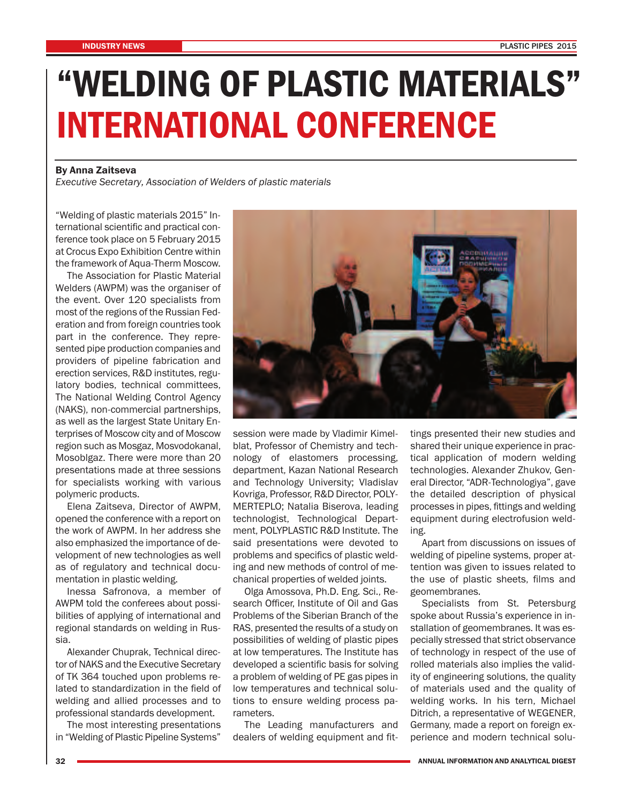## **"WELDING OF PLASTIC MATERIALS" INTERNATIONAL CONFERENCE**

## **By Anna Zaitseva**

*Executive Secretary, Association of Welders of plastic materials*

"Welding of plastic materials 2015" International scientific and practical conference took place on 5 February 2015 at Crocus Expo Exhibition Centre within the framework of Aqua-Therm Moscow.

The Association for Plastic Material Welders (AWPM) was the organiser of the event. Over 120 specialists from most of the regions of the Russian Federation and from foreign countries took part in the conference. They represented pipe production companies and providers of pipeline fabrication and erection services, R&D institutes, regulatory bodies, technical committees, The National Welding Control Agency (NAKS), non-commercial partnerships, as well as the largest State Unitary Enterprises of Moscow city and of Moscow region such as Mosgaz, Mosvodokanal, Mosoblgaz. There were more than 20 presentations made at three sessions for specialists working with various polymeric products.

Elena Zaitseva, Director of AWPM, opened the conference with a report on the work of AWPM. In her address she also emphasized the importance of development of new technologies as well as of regulatory and technical documentation in plastic welding.

Inessa Safronova, a member of AWPM told the conferees about possibilities of applying of international and regional standards on welding in Russia.

Alexander Chuprak, Technical director of NAKS and the Executive Secretary of TK 364 touched upon problems related to standardization in the field of welding and allied processes and to professional standards development.

The most interesting presentations in "Welding of Plastic Pipeline Systems"



session were made by Vladimir Kimelblat, Professor of Chemistry and technology of elastomers processing, department, Kazan National Research and Technology University; Vladislav Kovriga, Professor, R&D Director, POLY-MERTEPLO; Natalia Biserova, leading technologist, Technological Department, POLYPLASTIC R&D Institute. The said presentations were devoted to problems and specifics of plastic welding and new methods of control of mechanical properties of welded joints.

Olga Amossova, Ph.D. Eng. Sci., Research Officer, Institute of Oil and Gas Problems of the Siberian Branch of the RAS, presented the results of a study on possibilities of welding of plastic pipes at low temperatures. The Institute has developed a scientific basis for solving a problem of welding of PE gas pipes in low temperatures and technical solutions to ensure welding process parameters.

The Leading manufacturers and dealers of welding equipment and fit-

tings presented their new studies and shared their unique experience in practical application of modern welding technologies. Alexander Zhukov, General Director, "ADR-Technologiya", gave the detailed description of physical processes in pipes, fittings and welding equipment during electrofusion welding.

Apart from discussions on issues of welding of pipeline systems, proper attention was given to issues related to the use of plastic sheets, films and geomembranes.

Specialists from St. Petersburg spoke about Russia's experience in installation of geomembranes. It was especially stressed that strict observance of technology in respect of the use of rolled materials also implies the validity of engineering solutions, the quality of materials used and the quality of welding works. In his tern, Michael Ditrich, a representative of WEGENER, Germany, made a report on foreign experience and modern technical solu-